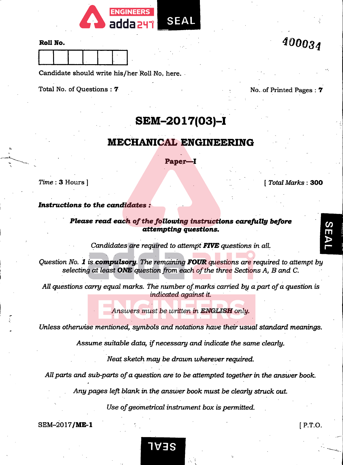

#### RoU No.

Candidate should write his/her Roll No, here.

Total No. of Questions : 7 No. of Printed Pages : 7

400034

# SEM-2017(03)-!

# MECHANICAL ENGINEERING

Paper—^1

Time : 3 Hours ] [ Total Marks : 300

SEAI

#### Instructions to the candidates ;

Please read each of the following instructions carefully before attempting questions.

Candidates are required to attempt FIVE questions in all.

Question No. 1 is compulsory. The remaining FOUR questions are required to attempt by selecting at least ONE question from each of the three Sections  $A$ ,  $B$  and  $C$ .

All questions carry equal marks. The number of marks carried by a part of a question is indicated against it.

Answers must be written in ENGLISH only.

Unless otherwise mentioned, symbols and notations have their usual standard meanings.

Assume suitable data, if necessary and indicate the same clearly.

Neat sketch may be drawn wherever required.

All parts and sub-parts of a question are to be attempted together in the answer book.

Any pages left blank in the answer book must be clearly struck out.

Use of geometrical instrument box is permitted.

1V3S

 $SEM-2017/ME-1$  [ P.T.O.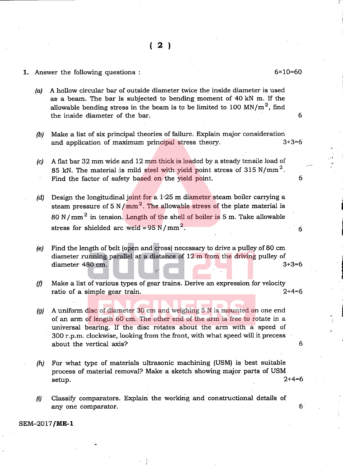#### 1. Answer the following questions : 6x10=60

- (a) A hollow circular bar of outside diameter twice the inside diameter is used as a beam. The bar is subjected to bending moment of 40 kN m. If the allowable bending stress in the beam is to be limited to 100 MN/ $m^2$ , find the inside diameter of the bar. 6
- (b) Make a list of six principal theories of failure. Explain major consideration<br>and application of maximum principal stress theory.  $3+3=6$ and application of maximum principal stress theory.
- (c) A flat bar 32 mm wide and 12 mm thick is loaded by a steady tensile load of 85 kN. The material is mild steel with yield point stress of 315 N/mm<sup>2</sup>. Find the factor of safety based on the yield point.
- (d) Design the longitudinal joint for a  $1.25$  m diameter steam boiler carrying a steam pressure of 5 N/mm<sup>2</sup>. The allowable stress of the plate material is 80 N/mm<sup>2</sup> in tension. Length of the shell of boiler is 5 m. Take allowable stress for shielded arc weld =  $95 \text{ N/mm}^2$ . 6
- (e) Find the length of belt (open and cross) necessary to drive a pulley of 80 cm diameter running parallel at a distance of  $12 \text{ m}$  from the driving pulley of diameter 480 cm. diameter 480 cm.
- $(f)$  Make a list of various types of gear trains. Derive an expression for velocity ratio of a simple gear train. 2+4=6
- (g) A uniform disc of diameter 30 cm and weighing 5 N is mounted on one end of an arm of length 60 cm. The other end of the arm is free to rotate in a universal bearing. If the disc rotates about the arm with a speed of 300 r.p.m. clockwise, looking from the front, with what speed will it precess about the vertical axis? 6
- (h) For what type of materials ultrasonic machining (USM) is best suitable process of material removal? Make a sketch showing major parts of USM<br>setup.  $2+4=6$ setup. 2+4=6
- (i) Classify comparators. Explain the working and constructional details of any one comparator.  $\blacksquare$

#### SEM-2017/ME-1

6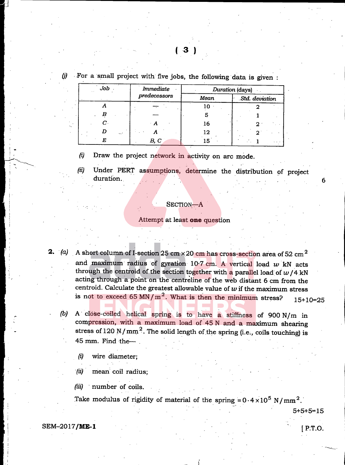| Job         | Immediate    | Duration (days) |                |  |  |  |
|-------------|--------------|-----------------|----------------|--|--|--|
|             | predecessors | Mean            | Std. deviation |  |  |  |
|             |              | 10              |                |  |  |  |
|             |              |                 |                |  |  |  |
| $\bm{C}$    |              | 16              |                |  |  |  |
| $\sim 10^4$ |              | 12              |                |  |  |  |
|             | B, C         |                 |                |  |  |  |

## $(j)$  For a small project with five jobs, the following data is given:

(i) Draw the project network in activity on arc mode.

(ii) Under PERT assumptions, determine the distribution of project duration.

#### Section—A

#### Attempt at least one question

- **2.** (a) A short column of I-section 25 cm  $\times$  20 cm has cross-section area of 52 cm<sup>2</sup> and maximum radius of gyration  $10.7$  cm. A vertical load  $w$  kN acts through the centroid of the section together with a parallel load of  $w/4$  kN acting through a point on the centreline of the web distant 6 cm from the centroid. Calculate the greatest allowable value of  $w$  if the maximum stress is not to exceed 65 MN/ $m^2$ . What is then the minimum stress? 15+10=25
	- (b) A close-coiled helical spring is to have a stiffness of 900 N/m in compression, with a maximum load of 45 N and a maximum shearing stress of 120 N/mm<sup>2</sup>. The solid length of the spring (i.e., coils touching) is 45 mm. Find the— .
		- (i) wire diameter;
		- (ii) mean coil radius;
		- $(iii)$  number of coils.

Take modulus of rigidity of material of the spring =  $0.4 \times 10^5$  N/mm<sup>2</sup>.

5+5+5=15

6

SEM-2017/**ME-1** [ P.T.O.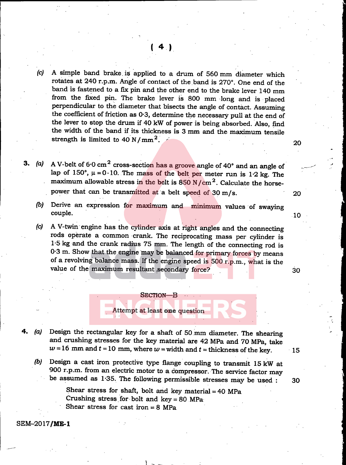(c) A simple band brake, is applied to a drum of 560 mm diameter which rotates at 240 r.p.m. Angle of contact of the band is 270°. One end of the band is fastened to a fix pin and the other end to the brake lever 140 mm from the fixed pin. The brake lever is 800 mm long and is placed perpendicular to the diameter that bisects the angle of contact. Assuming the coefficient of friction as 0-3, determine the necessary pull at the end of the lever to stop the drum if 40 kW of power is being absorbed. Also, find the width of the band if its thickness is 3 mm and the maximum tensile strength is limited to  $40 \text{ N/mm}^2$ .

3. (a) A V-belt of  $6.0 \text{ cm}^2$  cross-section has a groove angle of 40° and an angle of lap of 150°,  $\mu = 0.10$ . The mass of the belt per meter run is 1.2 kg. The maximum allowable stress in the belt is  $850$  N/cm<sup>2</sup>. Calculate the horsepower that can be transmitted at a belt speed of 30 m/s. 20

(b) Derive an expression for maximum and minimum values of swaying couple.

(c) A V-twin engine has the cylinder axis at right angles and the connecting rods operate a common crank. The reciprocating mass per cylinder is 1-5 kg and the crank radius 75 mm. The length of the connecting rod is 0-3 m. Show that the engine may be balanced for primary forces by means of a revolving balance mass. If the engine speed is 500 r.p.m., what is the value of the maximum resultant secondary force? 30

 $10$ 

Attempt at least one question

Section—B

(a) Design the rectangular key for a shaft of 50 mm diameter. The shearing and crushing stresses for the key material are 42 MPa and 70 MPa, take  $w=16$  mm and  $t=10$  mm, where  $w=$  width and  $t=$  thickness of the key. 15

(b) Design a cast iron protective type flange coupling to transmit 15 kW at 900 r.p.m. from an electric motor to a compressor. The service factor may be assumed as 1\*35. The following permissible stresses may be used : 30

> Shear stress for shaft, bolt and key material  $= 40$  MPa Crushing stress for bolt and  $key = 80$  MPa Shear stress for cast iron  $= 8$  MPa

SEM-2017/ME-1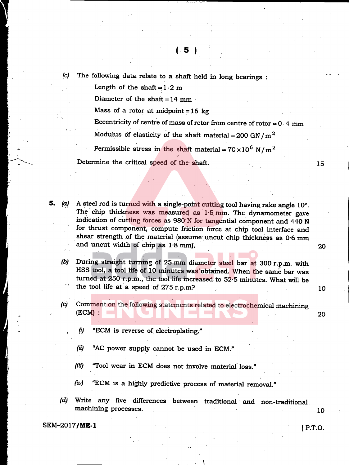(c) The following data relate to a shaft held in long bearings :

Length of the shaft  $= 1 \cdot 2$  m

Diameter of the shaft  $= 14$  mm

Mass of a rotor at midpoint =  $16$  kg

Eccentricity of centre of mass of rotor from centre of rotor =  $0.4$  mm

Modulus of elasticity of the shaft material =  $200$  GN/m<sup>2</sup>

Permissible stress in the shaft material =  $70 \times 10^6$  N/m<sup>2</sup>

Determine the critical speed of the shaft. 15

- 5. (a) A steel rod is turned with a single-point cutting tool having rake angle 10°. The chip thickness was measured as 1.5 mm. The dynamometer gave indication of cutting forces as 980 N for tangential component and 440 N for thrust component, compute friction force at chip tool interface and shear strength of the material (assume uncut chip thickness as 0-6 mm and uncut width of chip as 1.8 mm). 20
	- (b) During straight turning of 25 mm diameter steel bar at 300 r.p.m. with HSS tool, a tool life of 10 minutes was obtained. When the same bar was turned at 250 r.p.m., the tool life increased to 52-5 minutes. What will be the tool life at a speed of  $275$  r.p.m? 10
	- (c) Comment on the following statements related to electrochemical machining (ECM) ; 20
		- (i) "ECM is reverse of electroplating."
		- $(ii)$  "AC power supply cannot be used in ECM."
		- (iii) "Tool wear in ECM does not involve material loss."
		- $(iv)$  "ECM is a highly predictive process of material removal."
	- (d) Write any five differences between traditional and non-traditional machining processes. 10

SEM-2017/**ME-1** [ P.T.O.

i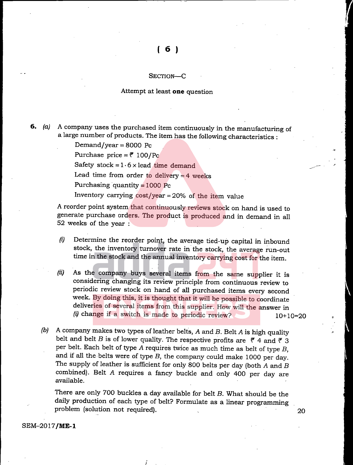#### SECTION-C

#### Attempt at least one question

6.  $(a)$  A company uses the purchased item continuously in the manufacturing of a large number of products. The item has the following characteristics :

Demand/year  $= 8000$  Pc

Purchase price =  $\bar{f}$  100/Pc

Safety stock =  $1.6 \times$  lead time demand

Lead time from order to delivery  $=$  4 weeks

Purchasing quantity  $= 1000$  Pc

Inventory carrying  $cost/year = 20%$  of the item value

A reorder point system that continuously reviews stock on hand is used to generate purchase orders. The product is produced and in demand in all 52 weeks of the year :

- (i) Determine the reorder point, the average tied-up capital in inbound stock, the inventory turnover rate in the stock, the average run-out time in the stock and the annual inventory carrying cost for the item.
- (n) As the company buys several items from the same supplier it is considering changing its review principle from continuous review to periodic review stock on hand of all purchased items every second week. By doing this, it is thought that it will be possible to coordinate deliveries of several items from this supplier. How will the answer in (i) change if a switch is made to periodic review?  $10+10=20$
- (b) A company makes two types of leather belts, A and B. Belt A is high quality belt and belt B is of lower quality. The respective profits are  $\bar{r}$  4 and  $\bar{r}$  3 per belt. Each belt of type A requires twice as much time as belt of type B, and if all the belts were of type B, the company could make 1000 per day. The supply of leather is sufficient for only 800 belts per day (both  $A$  and  $B$ combined). Belt A requires a fancy buckle and only 400 per day are available.

There are only 700 buckles a day available for belt B. What should be the daily production of each type of belt? Formulate as a linear programming problem (solution not required). 20

SEM-2017/ME-1

**W**